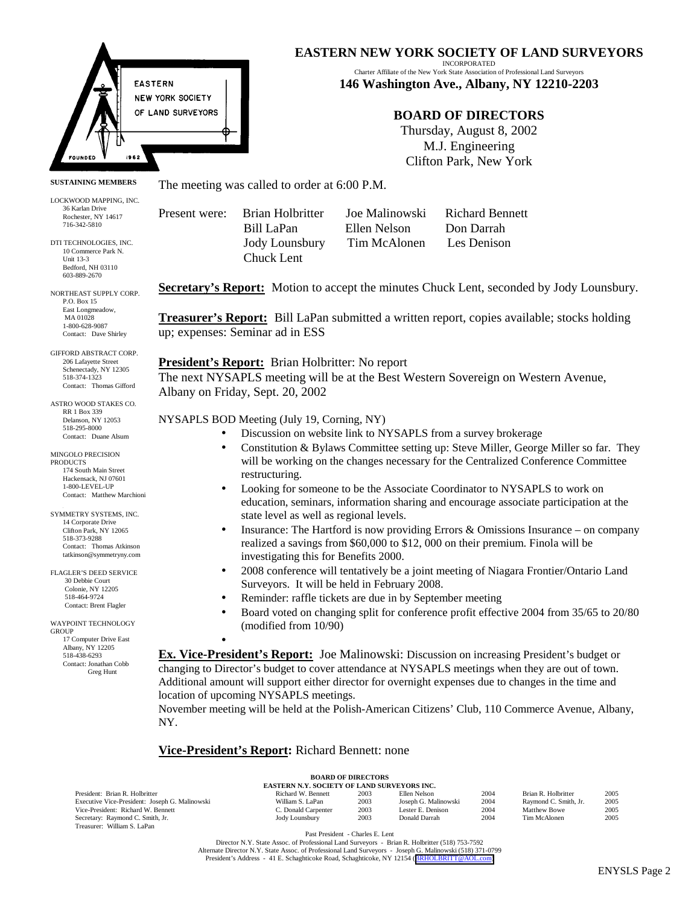

#### **SUSTAINING MEMBERS**

LOCKWOOD MAPPING, INC. 36 Karlan Drive Rochester, NY 14617 716-342-5810

DTI TECHNOLOGIES, INC. 10 Commerce Park N. Unit 13-3 Bedford, NH 03110 603-889-2670

NORTHEAST SUPPLY CORP. P.O. Box 15 East Longmeadow, MA 01028 1-800-628-9087 Contact: Dave Shirley

GIFFORD ABSTRACT CORP. 206 Lafayette Street Schenectady, NY 12305 518-374-1323 Contact: Thomas Gifford

ASTRO WOOD STAKES CO. RR 1 Box 339 Delanson, NY 12053 518-295-8000 Contact: Duane Alsum

MINGOLO PRECISION **PRODUCTS** 174 South Main Street Hackensack, NJ 07601 1-800-LEVEL-UP Contact: Matthew Marchioni

3 SYMMETRY SYSTEMS, INC. 14 Corporate Drive Clifton Park, NY 12065 518-373-9288 Contact: Thomas Atkinson tatkinson@symmetryny.com

FLAGLER'S DEED SERVICE 30 Debbie Court Colonie, NY 12205 518-464-9724 Contact: Brent Flagler

#### WAYPOINT TECHNOLOGY GROUP 17 Computer Drive East Albany, NY 12205 518-438-6293 Contact: Jonathan Cobb Greg Hunt

**EASTERN NEW YORK SOCIETY OF LAND SURVEYORS**

INCORPORATED Charter Affiliate of the New York State Association of Professional Land Surveyors **146 Washington Ave., Albany, NY 12210-2203**

## **BOARD OF DIRECTORS**

Thursday, August 8, 2002 M.J. Engineering Clifton Park, New York

The meeting was called to order at 6:00 P.M.

Present were: Brian Holbritter Joe Malinowski Richard Bennett Chuck Lent

 Bill LaPan Ellen Nelson Don Darrah Jody Lounsbury Tim McAlonen Les Denison

Secretary's Report: Motion to accept the minutes Chuck Lent, seconded by Jody Lounsbury.

**Treasurer's Report:** Bill LaPan submitted a written report, copies available; stocks holding up; expenses: Seminar ad in ESS

**President's Report:** Brian Holbritter: No report The next NYSAPLS meeting will be at the Best Western Sovereign on Western Avenue, Albany on Friday, Sept. 20, 2002

NYSAPLS BOD Meeting (July 19, Corning, NY)

- Discussion on website link to NYSAPLS from a survey brokerage
- Constitution & Bylaws Committee setting up: Steve Miller, George Miller so far. They will be working on the changes necessary for the Centralized Conference Committee restructuring.
- Looking for someone to be the Associate Coordinator to NYSAPLS to work on education, seminars, information sharing and encourage associate participation at the state level as well as regional levels.
- Insurance: The Hartford is now providing Errors & Omissions Insurance on company realized a savings from \$60,000 to \$12, 000 on their premium. Finola will be investigating this for Benefits 2000.
- 2008 conference will tentatively be a joint meeting of Niagara Frontier/Ontario Land Surveyors. It will be held in February 2008.
- Reminder: raffle tickets are due in by September meeting
- Board voted on changing split for conference profit effective 2004 from 35/65 to 20/80 (modified from 10/90)

**Ex. Vice-President's Report:** Joe Malinowski: Discussion on increasing President's budget or changing to Director's budget to cover attendance at NYSAPLS meetings when they are out of town. Additional amount will support either director for overnight expenses due to changes in the time and location of upcoming NYSAPLS meetings.

November meeting will be held at the Polish-American Citizens' Club, 110 Commerce Avenue, Albany, NY.

## **Vice-President's Report:** Richard Bennett: none

•

|             | <b>BOARD OF DIRECTORS</b> |  |  |
|-------------|---------------------------|--|--|
| - - - - - - |                           |  |  |

| <b>EASTERN N.Y. SOCIETY OF LAND SURVEYORS INC.</b> |                     |      |                      |      |                       |      |
|----------------------------------------------------|---------------------|------|----------------------|------|-----------------------|------|
| President: Brian R. Holbritter                     | Richard W. Bennett  | 2003 | Ellen Nelson         | 2004 | Brian R. Holbritter   | 2005 |
| Executive Vice-President: Joseph G. Malinowski     | William S. LaPan    | 2003 | Joseph G. Malinowski | 2004 | Raymond C. Smith, Jr. | 2005 |
| Vice-President: Richard W. Bennett                 | C. Donald Carpenter | 2003 | Lester E. Denison    | 2004 | Matthew Bowe          | 2005 |
| Secretary: Raymond C. Smith, Jr.                   | Jody Lounsbury      | 2003 | Donald Darrah        | 2004 | Tim McAlonen          | 2005 |
| Treasurer: William S. LaPan                        |                     |      |                      |      |                       |      |

Past President - Charles E. Lent

Director N.Y. State Assoc. of Professional Land Surveyors - Brian R. Holbritter (518) 753-7592 Alternate Director N.Y. State Assoc. of Professional Land Surveyors - Joseph G. Malinowski (518) 371-0799<br>President's Address - 41 E. Schaghticoke Road, Schaghticoke, NY 12154 ([BRHOLBRITT@AOL.com\)](mailto:BRHOLBRITT@AOL.com)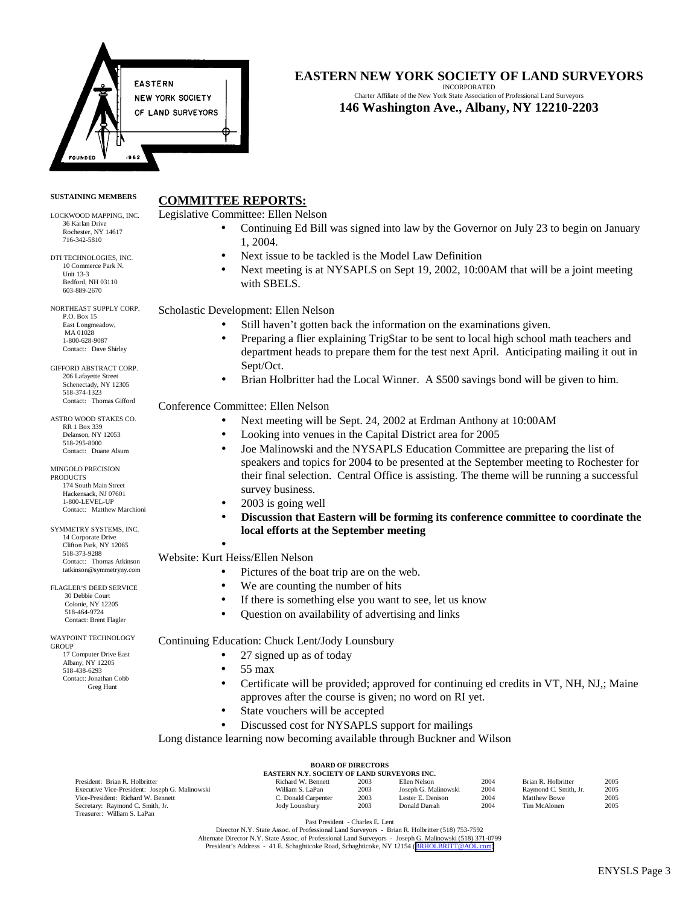

# **EASTERN NEW YORK SOCIETY OF LAND SURVEYORS**

INCORPORATED Charter Affiliate of the New York State Association of Professional Land Surveyors **146 Washington Ave., Albany, NY 12210-2203**

#### **SUSTAINING MEMBERS**

# **COMMITTEE REPORTS:**

LOCKWOOD MAPPING, INC. 36 Karlan Drive Rochester, NY 14617 716-342-5810

DTI TECHNOLOGIES, INC. 10 Commerce Park N. Unit 13-3 Bedford, NH 03110 603-889-2670

NORTHEAST SUPPLY CORP. P.O. Box 15 East Longmeadow, MA 01028 1-800-628-9087 Contact: Dave Shirley

GIFFORD ABSTRACT CORP. 206 Lafayette Street Schenectady, NY 12305 518-374-1323 Contact: Thomas Gifford

ASTRO WOOD STAKES CO. RR 1 Box 339 Delanson, NY 12053 518-295-8000 Contact: Duane Alsum

MINGOLO PRECISION **PRODUCTS** 174 South Main Street Hackensack, NJ 07601 1-800-LEVEL-UP Contact: Matthew Marchioni

3 SYMMETRY SYSTEMS, INC. 14 Corporate Drive Clifton Park, NY 12065 518-373-9288 Contact: Thomas Atkinson tatkinson@symmetryny.com

FLAGLER'S DEED SERVICE 30 Debbie Court Colonie, NY 12205 518-464-9724 Contact: Brent Flagler

WAYPOINT TECHNOLOGY **GROUP**  17 Computer Drive East Albany, NY 12205 518-438-6293

 Contact: Jonathan Cobb Greg Hunt

- Legislative Committee: Ellen Nelson
	- Continuing Ed Bill was signed into law by the Governor on July 23 to begin on January 1, 2004.
	- Next issue to be tackled is the Model Law Definition
	- Next meeting is at NYSAPLS on Sept 19, 2002, 10:00AM that will be a joint meeting with SBELS.

Scholastic Development: Ellen Nelson

- Still haven't gotten back the information on the examinations given.
- Preparing a flier explaining TrigStar to be sent to local high school math teachers and department heads to prepare them for the test next April. Anticipating mailing it out in Sept/Oct.
- Brian Holbritter had the Local Winner. A \$500 savings bond will be given to him.

## Conference Committee: Ellen Nelson

- Next meeting will be Sept. 24, 2002 at Erdman Anthony at 10:00AM
- Looking into venues in the Capital District area for 2005
- Joe Malinowski and the NYSAPLS Education Committee are preparing the list of speakers and topics for 2004 to be presented at the September meeting to Rochester for their final selection. Central Office is assisting. The theme will be running a successful survey business.
- 2003 is going well
- **Discussion that Eastern will be forming its conference committee to coordinate the local efforts at the September meeting**

### • Website: Kurt Heiss/Ellen Nelson

- Pictures of the boat trip are on the web.
- We are counting the number of hits
- If there is something else you want to see, let us know
- Question on availability of advertising and links

## Continuing Education: Chuck Lent/Jody Lounsbury

- 27 signed up as of today
- 55 max
- Certificate will be provided; approved for continuing ed credits in VT, NH, NJ,; Maine approves after the course is given; no word on RI yet.
- State vouchers will be accepted
- Discussed cost for NYSAPLS support for mailings

Long distance learning now becoming available through Buckner and Wilson

| <b>BOARD OF DIRECTORS</b>                          |                     |      |                      |      |                       |      |
|----------------------------------------------------|---------------------|------|----------------------|------|-----------------------|------|
| <b>EASTERN N.Y. SOCIETY OF LAND SURVEYORS INC.</b> |                     |      |                      |      |                       |      |
| President: Brian R. Holbritter                     | Richard W. Bennett  | 2003 | Ellen Nelson         | 2004 | Brian R. Holbritter   | 2005 |
| Executive Vice-President: Joseph G. Malinowski     | William S. LaPan    | 2003 | Joseph G. Malinowski | 2004 | Raymond C. Smith, Jr. | 2005 |
| Vice-President: Richard W. Bennett                 | C. Donald Carpenter | 2003 | Lester E. Denison    | 2004 | <b>Matthew Bowe</b>   | 2005 |
| Secretary: Raymond C. Smith, Jr.                   | Jody Lounsbury      | 2003 | Donald Darrah        | 2004 | Tim McAlonen          | 2005 |
| Treasurer: William S. LaPan                        |                     |      |                      |      |                       |      |
| _______<br>_____                                   |                     |      |                      |      |                       |      |

Past President - Charles E. Lent

Director N.Y. State Assoc. of Professional Land Surveyors - Brian R. Holbritter (518) 753-7592 Alternate Director N.Y. State Assoc. of Professional Land Surveyors - Joseph G. Malinowski (518) 371-0799<br>President's Address - 41 E. Schaghticoke Road, Schaghticoke, NY 12154 ([BRHOLBRITT@AOL.com\)](mailto:BRHOLBRITT@AOL.com)